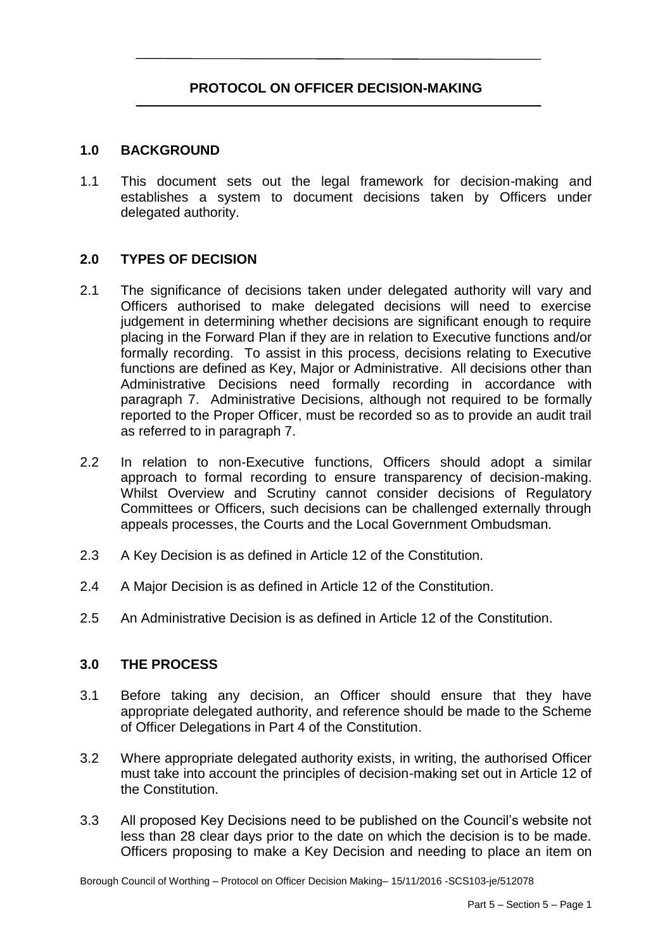# **PROTOCOL ON OFFICER DECISION-MAKING**

#### **1.0 BACKGROUND**

 1.1 This document sets out the legal framework for decision-making and establishes a system to document decisions taken by Officers under delegated authority.

#### **2.0 TYPES OF DECISION**

- $2.1$  Officers authorised to make delegated decisions will need to exercise judgement in determining whether decisions are significant enough to require placing in the Forward Plan if they are in relation to Executive functions and/or formally recording. To assist in this process, decisions relating to Executive functions are defined as Key, Major or Administrative. All decisions other than Administrative Decisions need formally recording in accordance with paragraph 7. Administrative Decisions, although not required to be formally reported to the Proper Officer, must be recorded so as to provide an audit trail The significance of decisions taken under delegated authority will vary and as referred to in paragraph 7.
- $2.2$  approach to formal recording to ensure transparency of decision-making. Whilst Overview and Scrutiny cannot consider decisions of Regulatory Committees or Officers, such decisions can be challenged externally through In relation to non-Executive functions, Officers should adopt a similar appeals processes, the Courts and the Local Government Ombudsman.
- 2.3 A Key Decision is as defined in Article 12 of the Constitution.
- 2.4 A Major Decision is as defined in Article 12 of the Constitution.
- 2.5 An Administrative Decision is as defined in Article 12 of the Constitution.

#### **3.0 THE PROCESS**

- 3.1 Before taking any decision, an Officer should ensure that they have appropriate delegated authority, and reference should be made to the Scheme of Officer Delegations in Part 4 of the Constitution.
- $3.2$  must take into account the principles of decision-making set out in Article 12 of Where appropriate delegated authority exists, in writing, the authorised Officer the Constitution.
- $3.3$  less than 28 clear days prior to the date on which the decision is to be made. Officers proposing to make a Key Decision and needing to place an item on All proposed Key Decisions need to be published on the Council's website not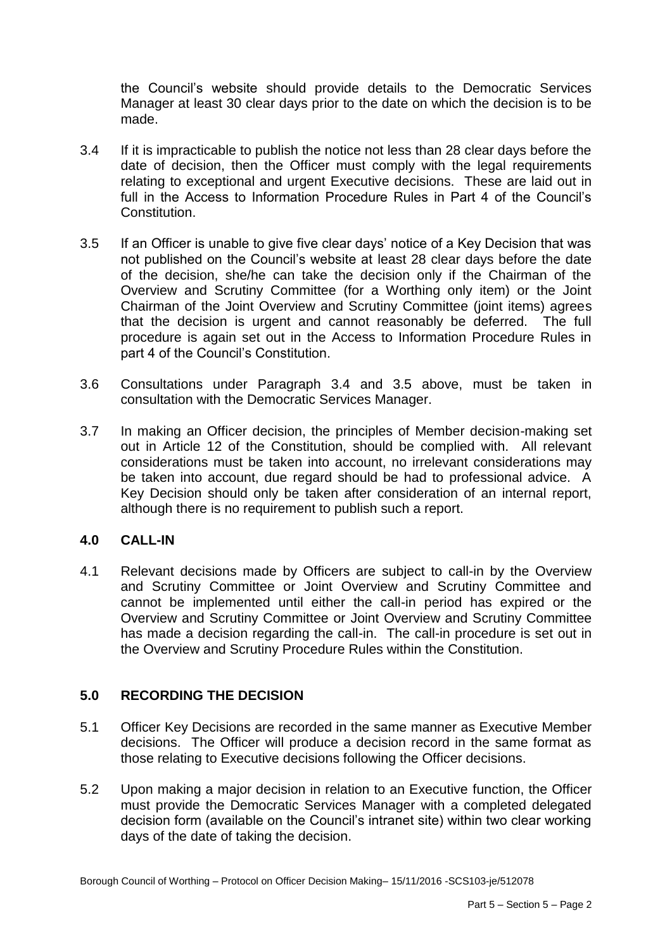the Council's website should provide details to the Democratic Services Manager at least 30 clear days prior to the date on which the decision is to be made.

- $3.4$  date of decision, then the Officer must comply with the legal requirements relating to exceptional and urgent Executive decisions. These are laid out in full in the Access to Information Procedure Rules in Part 4 of the Council's If it is impracticable to publish the notice not less than 28 clear days before the Constitution.
- 3.5 If an Officer is unable to give five clear days' notice of a Key Decision that was not published on the Council's website at least 28 clear days before the date of the decision, she/he can take the decision only if the Chairman of the Overview and Scrutiny Committee (for a Worthing only item) or the Joint Chairman of the Joint Overview and Scrutiny Committee (joint items) agrees that the decision is urgent and cannot reasonably be deferred. The full procedure is again set out in the Access to Information Procedure Rules in part 4 of the Council's Constitution.
- 3.6 Consultations under Paragraph 3.4 and 3.5 above, must be taken in consultation with the Democratic Services Manager.
- $37$  out in Article 12 of the Constitution, should be complied with. All relevant considerations must be taken into account, no irrelevant considerations may be taken into account, due regard should be had to professional advice. A Key Decision should only be taken after consideration of an internal report, In making an Officer decision, the principles of Member decision-making set although there is no requirement to publish such a report.

## **4.0 CALL-IN**

 4.1 Relevant decisions made by Officers are subject to call-in by the Overview and Scrutiny Committee or Joint Overview and Scrutiny Committee and cannot be implemented until either the call-in period has expired or the Overview and Scrutiny Committee or Joint Overview and Scrutiny Committee has made a decision regarding the call-in. The call-in procedure is set out in the Overview and Scrutiny Procedure Rules within the Constitution.

## **5.0 RECORDING THE DECISION**

- 5.1 Officer Key Decisions are recorded in the same manner as Executive Member decisions. The Officer will produce a decision record in the same format as those relating to Executive decisions following the Officer decisions.
- $5.2$  must provide the Democratic Services Manager with a completed delegated decision form (available on the Council's intranet site) within two clear working days of the date of taking the decision. Upon making a major decision in relation to an Executive function, the Officer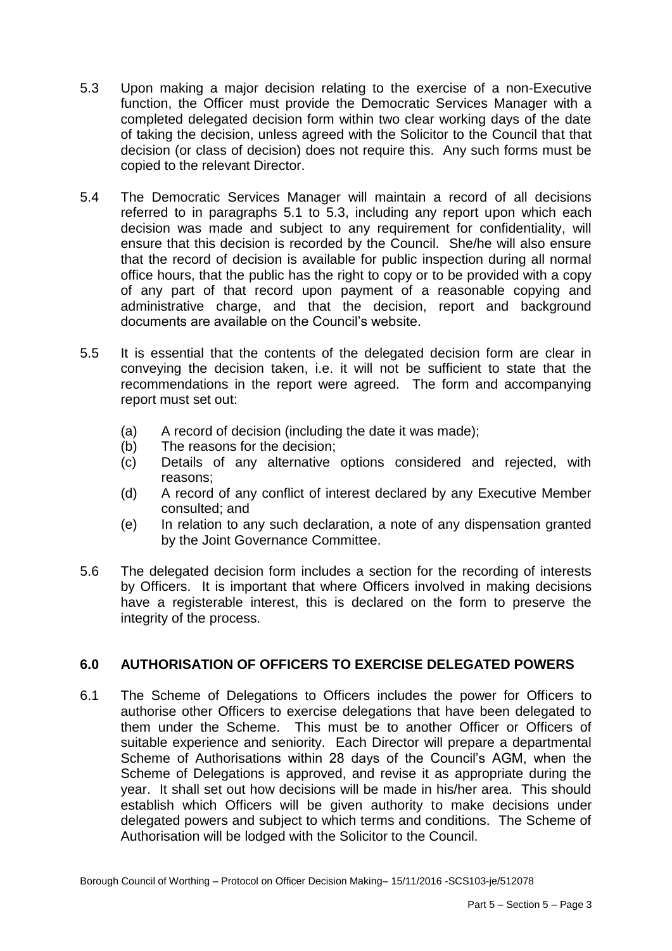- 5.3 function, the Officer must provide the Democratic Services Manager with a completed delegated decision form within two clear working days of the date of taking the decision, unless agreed with the Solicitor to the Council that that decision (or class of decision) does not require this. Any such forms must be Upon making a major decision relating to the exercise of a non-Executive copied to the relevant Director.
- $5.4$  referred to in paragraphs 5.1 to 5.3, including any report upon which each decision was made and subject to any requirement for confidentiality, will ensure that this decision is recorded by the Council. She/he will also ensure that the record of decision is available for public inspection during all normal office hours, that the public has the right to copy or to be provided with a copy of any part of that record upon payment of a reasonable copying and administrative charge, and that the decision, report and background The Democratic Services Manager will maintain a record of all decisions documents are available on the Council's website.
- $5.5$  conveying the decision taken, i.e. it will not be sufficient to state that the recommendations in the report were agreed. The form and accompanying It is essential that the contents of the delegated decision form are clear in report must set out:
	- (a) A record of decision (including the date it was made);
	- (b) The reasons for the decision;
	- (c) Details of any alternative options considered and rejected, with reasons;
	- $(d)$ A record of any conflict of interest declared by any Executive Member consulted; and
	- $(e)$ In relation to any such declaration, a note of any dispensation granted by the Joint Governance Committee.
- $5.6$  by Officers. It is important that where Officers involved in making decisions have a registerable interest, this is declared on the form to preserve the The delegated decision form includes a section for the recording of interests integrity of the process.

# **6.0 AUTHORISATION OF OFFICERS TO EXERCISE DELEGATED POWERS**

 $6.1$  authorise other Officers to exercise delegations that have been delegated to them under the Scheme. This must be to another Officer or Officers of suitable experience and seniority. Each Director will prepare a departmental Scheme of Authorisations within 28 days of the Council's AGM, when the Scheme of Delegations is approved, and revise it as appropriate during the year. It shall set out how decisions will be made in his/her area. This should establish which Officers will be given authority to make decisions under delegated powers and subject to which terms and conditions. The Scheme of The Scheme of Delegations to Officers includes the power for Officers to Authorisation will be lodged with the Solicitor to the Council.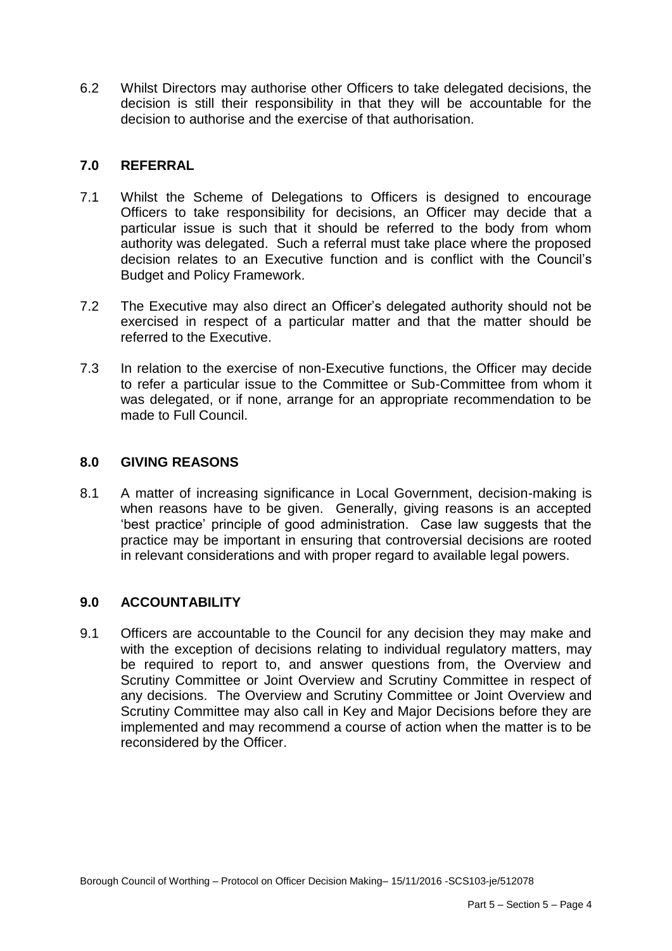6.2 Whilst Directors may authorise other Officers to take delegated decisions, the decision is still their responsibility in that they will be accountable for the decision to authorise and the exercise of that authorisation.

# **7.0 REFERRAL**

- 7.1 Whilst the Scheme of Delegations to Officers is designed to encourage Officers to take responsibility for decisions, an Officer may decide that a particular issue is such that it should be referred to the body from whom authority was delegated. Such a referral must take place where the proposed decision relates to an Executive function and is conflict with the Council's Budget and Policy Framework.
- $7.2$  exercised in respect of a particular matter and that the matter should be The Executive may also direct an Officer's delegated authority should not be referred to the Executive.
- $7.3$  to refer a particular issue to the Committee or Sub-Committee from whom it was delegated, or if none, arrange for an appropriate recommendation to be In relation to the exercise of non-Executive functions, the Officer may decide made to Full Council.

## **8.0 GIVING REASONS**

 $8.1$  when reasons have to be given. Generally, giving reasons is an accepted 'best practice' principle of good administration. Case law suggests that the practice may be important in ensuring that controversial decisions are rooted 8.1 A matter of increasing significance in Local Government, decision-making is in relevant considerations and with proper regard to available legal powers.

## **9.0 ACCOUNTABILITY**

 9.1 Officers are accountable to the Council for any decision they may make and with the exception of decisions relating to individual regulatory matters, may be required to report to, and answer questions from, the Overview and Scrutiny Committee or Joint Overview and Scrutiny Committee in respect of any decisions. The Overview and Scrutiny Committee or Joint Overview and Scrutiny Committee may also call in Key and Major Decisions before they are implemented and may recommend a course of action when the matter is to be reconsidered by the Officer.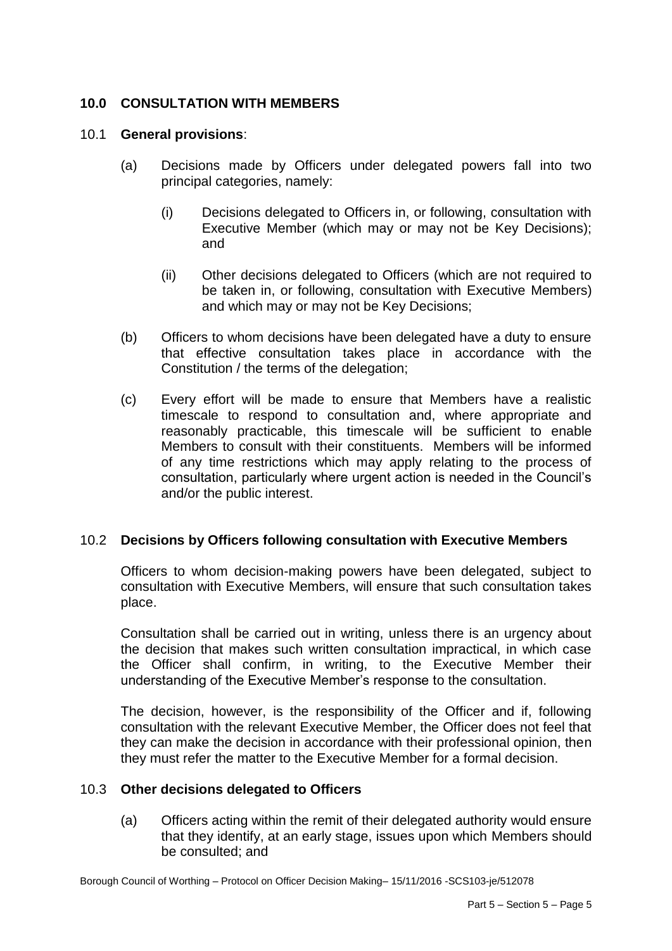# **10.0 CONSULTATION WITH MEMBERS**

#### 10.1 **General provisions**:

- (a) Decisions made by Officers under delegated powers fall into two principal categories, namely:
	- (i) Decisions delegated to Officers in, or following, consultation with Executive Member (which may or may not be Key Decisions); and
	- (ii) Other decisions delegated to Officers (which are not required to be taken in, or following, consultation with Executive Members) and which may or may not be Key Decisions;
- (b) Officers to whom decisions have been delegated have a duty to ensure that effective consultation takes place in accordance with the Constitution / the terms of the delegation;
- $(c)$  timescale to respond to consultation and, where appropriate and reasonably practicable, this timescale will be sufficient to enable Members to consult with their constituents. Members will be informed of any time restrictions which may apply relating to the process of consultation, particularly where urgent action is needed in the Council's Every effort will be made to ensure that Members have a realistic and/or the public interest.

## 10.2 **Decisions by Officers following consultation with Executive Members**

 Officers to whom decision-making powers have been delegated, subject to consultation with Executive Members, will ensure that such consultation takes place.

 Consultation shall be carried out in writing, unless there is an urgency about the decision that makes such written consultation impractical, in which case the Officer shall confirm, in writing, to the Executive Member their understanding of the Executive Member's response to the consultation.

 The decision, however, is the responsibility of the Officer and if, following consultation with the relevant Executive Member, the Officer does not feel that they can make the decision in accordance with their professional opinion, then they must refer the matter to the Executive Member for a formal decision.

## 10.3 **Other decisions delegated to Officers**

 that they identify, at an early stage, issues upon which Members should (a) Officers acting within the remit of their delegated authority would ensure be consulted; and